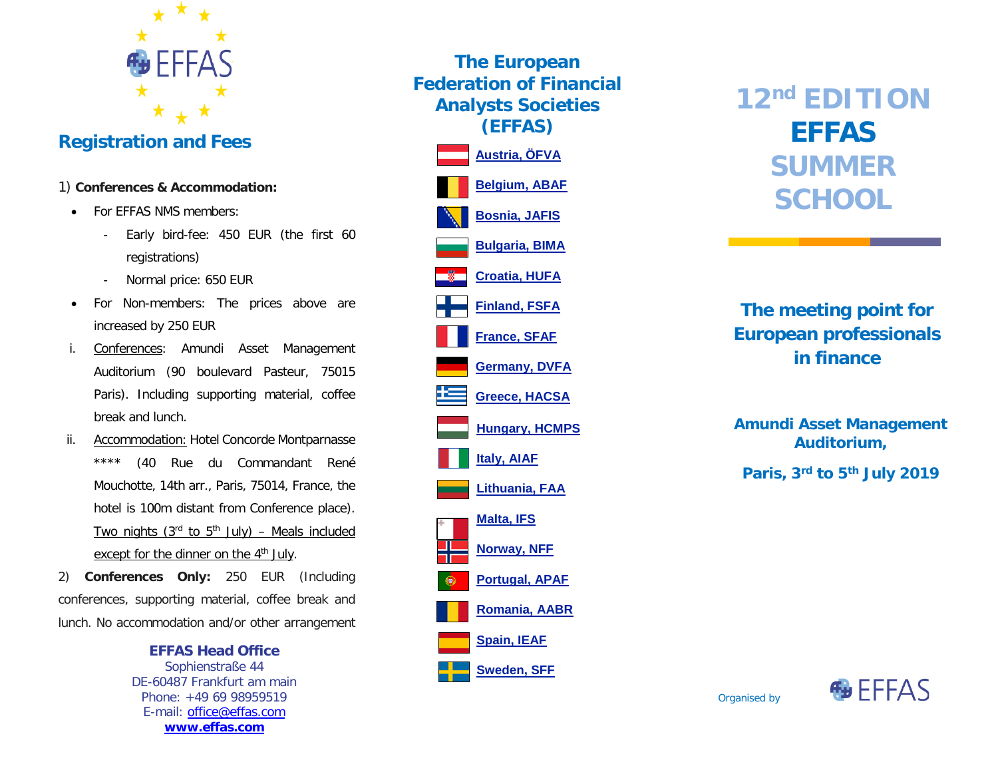

### **Registration and Fees**

### 1) **Conferences & Accommodation:**

- For EFFAS NMS members:
	- Early bird-fee: 450 EUR (the first 60 registrations)
	- Normal price: 650 EUR
- For Non-members: The prices above are increased by 250 EUR
- i. Conferences: Amundi Asset Management Auditorium (90 boulevard Pasteur, 75015 Paris). Including supporting material, coffee break and lunch.
- ii. Accommodation: Hotel Concorde Montparnasse \*\*\*\* (40 Rue du Commandant René Mouchotte, 14th arr., Paris, 75014, France, the hotel is 100m distant from Conference place). Two nights  $(3<sup>rd</sup>$  to  $5<sup>th</sup>$  July) – Meals included except for the dinner on the  $4<sup>th</sup>$  July.

2) **Conferences Only:** 250 EUR (Including conferences, supporting material, coffee break and lunch. No accommodation and/or other arrangement

> **EFFAS Head Office** Sophienstraße 44 DE-60487 Frankfurt am main Phone: +49 69 98959519 E-mail: [office@effas.com](mailto:office@effas.com) **[www.effas.com](http://www.effas.com/)**



# **12nd EDITION EFFAS SUMMER SCHOOL**

## **The meeting point for European professionals in finance**

# **Amundi Asset Management Auditorium,**

**Paris, 3rd to 5th July 2019**